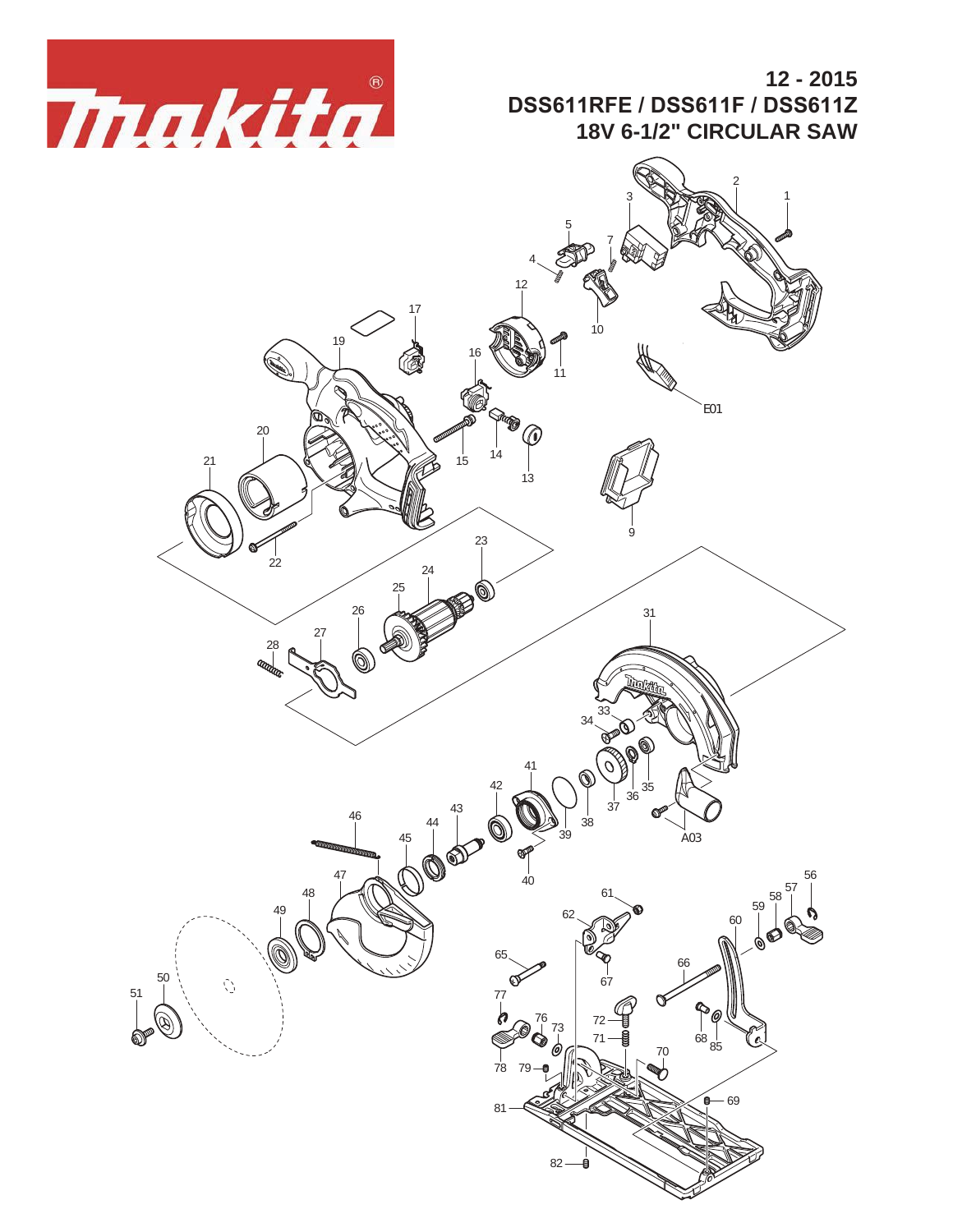

## **12 - 2015 DSS611RFE / DSS611F / DSS611Z 18V 6-1/2" CIRCULAR SAW**

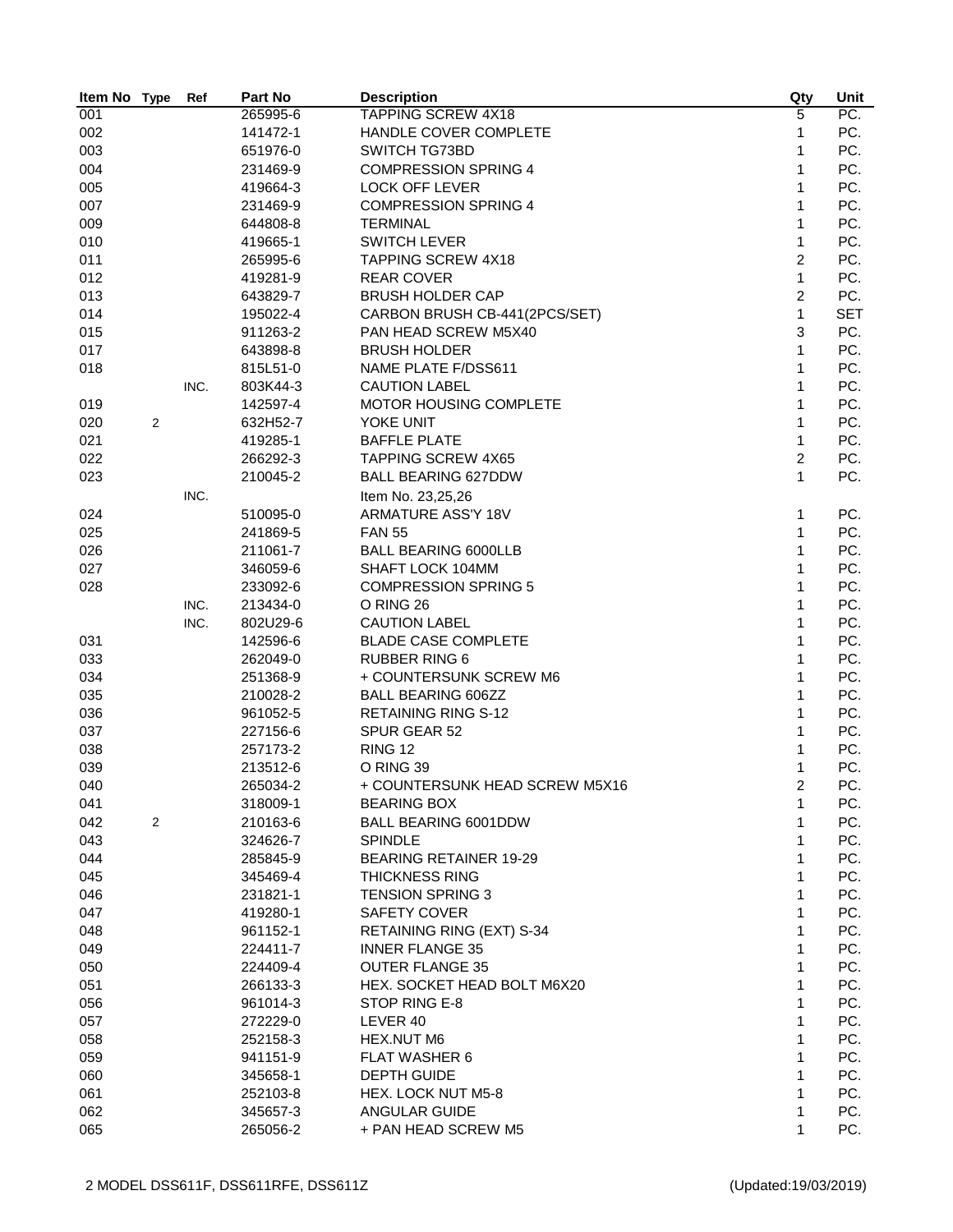| Item No Type |                  | Ref  | Part No  | <b>Description</b>             | Qty            | Unit              |
|--------------|------------------|------|----------|--------------------------------|----------------|-------------------|
| 001          |                  |      | 265995-6 | <b>TAPPING SCREW 4X18</b>      | 5              | $\overline{PC}$ . |
| 002          |                  |      | 141472-1 | HANDLE COVER COMPLETE          | 1              | PC.               |
| 003          |                  |      | 651976-0 | <b>SWITCH TG73BD</b>           | 1              | PC.               |
| 004          |                  |      | 231469-9 | <b>COMPRESSION SPRING 4</b>    | 1              | PC.               |
| 005          |                  |      | 419664-3 | <b>LOCK OFF LEVER</b>          | 1              | PC.               |
| 007          |                  |      | 231469-9 | <b>COMPRESSION SPRING 4</b>    | 1              | PC.               |
| 009          |                  |      | 644808-8 | <b>TERMINAL</b>                | 1              | PC.               |
| 010          |                  |      | 419665-1 | <b>SWITCH LEVER</b>            | 1              | PC.               |
| 011          |                  |      | 265995-6 | <b>TAPPING SCREW 4X18</b>      | $\overline{c}$ | PC.               |
| 012          |                  |      | 419281-9 | <b>REAR COVER</b>              | $\mathbf{1}$   | PC.               |
| 013          |                  |      | 643829-7 | <b>BRUSH HOLDER CAP</b>        | $\overline{c}$ | PC.               |
| 014          |                  |      | 195022-4 | CARBON BRUSH CB-441(2PCS/SET)  | $\mathbf{1}$   | <b>SET</b>        |
| 015          |                  |      | 911263-2 | PAN HEAD SCREW M5X40           | 3              | PC.               |
| 017          |                  |      | 643898-8 | <b>BRUSH HOLDER</b>            | $\mathbf{1}$   | PC.               |
| 018          |                  |      | 815L51-0 | NAME PLATE F/DSS611            | 1              | PC.               |
|              |                  | INC. | 803K44-3 | <b>CAUTION LABEL</b>           | 1              | PC.               |
| 019          |                  |      | 142597-4 | MOTOR HOUSING COMPLETE         | 1              | PC.               |
| 020          | 2                |      | 632H52-7 | YOKE UNIT                      | 1              | PC.               |
| 021          |                  |      | 419285-1 | <b>BAFFLE PLATE</b>            | 1              | PC.               |
| 022          |                  |      | 266292-3 | <b>TAPPING SCREW 4X65</b>      | 2              | PC.               |
| 023          |                  |      | 210045-2 | <b>BALL BEARING 627DDW</b>     | 1              | PC.               |
|              |                  | INC. |          | Item No. 23,25,26              |                |                   |
| 024          |                  |      | 510095-0 | ARMATURE ASS'Y 18V             | 1              | PC.               |
| 025          |                  |      | 241869-5 | <b>FAN 55</b>                  | 1              | PC.               |
| 026          |                  |      | 211061-7 | <b>BALL BEARING 6000LLB</b>    | 1              | PC.               |
| 027          |                  |      | 346059-6 | SHAFT LOCK 104MM               | 1              | PC.               |
| 028          |                  |      | 233092-6 | <b>COMPRESSION SPRING 5</b>    | 1              | PC.               |
|              |                  | INC. | 213434-0 | O RING 26                      | 1              | PC.               |
|              |                  | INC. | 802U29-6 | <b>CAUTION LABEL</b>           | 1              | PC.               |
| 031          |                  |      | 142596-6 | <b>BLADE CASE COMPLETE</b>     | $\mathbf{1}$   | PC.               |
| 033          |                  |      | 262049-0 | <b>RUBBER RING 6</b>           | 1              | PC.               |
| 034          |                  |      | 251368-9 | + COUNTERSUNK SCREW M6         | 1              | PC.               |
| 035          |                  |      | 210028-2 | <b>BALL BEARING 606ZZ</b>      | 1              | PC.               |
| 036          |                  |      | 961052-5 | <b>RETAINING RING S-12</b>     | 1              | PC.               |
| 037          |                  |      | 227156-6 | SPUR GEAR 52                   | 1              | PC.               |
| 038          |                  |      | 257173-2 | <b>RING 12</b>                 | 1              | PC.               |
| 039          |                  |      | 213512-6 | O RING 39                      | 1              | PC.               |
| 040          |                  |      | 265034-2 | + COUNTERSUNK HEAD SCREW M5X16 | 2              | PC.               |
| 041          |                  |      | 318009-1 | <b>BEARING BOX</b>             | 1              | PC.               |
| 042          | $\boldsymbol{2}$ |      | 210163-6 | BALL BEARING 6001DDW           | 1              | PC.               |
| 043          |                  |      | 324626-7 | <b>SPINDLE</b>                 | 1              | PC.               |
| 044          |                  |      | 285845-9 | <b>BEARING RETAINER 19-29</b>  | 1              | PC.               |
| 045          |                  |      | 345469-4 | <b>THICKNESS RING</b>          | 1              | PC.               |
| 046          |                  |      |          | <b>TENSION SPRING 3</b>        | 1              | PC.               |
| 047          |                  |      | 231821-1 | SAFETY COVER                   | 1              | PC.               |
|              |                  |      | 419280-1 |                                | 1              |                   |
| 048          |                  |      | 961152-1 | RETAINING RING (EXT) S-34      |                | PC.               |
| 049          |                  |      | 224411-7 | <b>INNER FLANGE 35</b>         | 1              | PC.               |
| 050          |                  |      | 224409-4 | <b>OUTER FLANGE 35</b>         | 1              | PC.               |
| 051          |                  |      | 266133-3 | HEX. SOCKET HEAD BOLT M6X20    | 1              | PC.               |
| 056          |                  |      | 961014-3 | STOP RING E-8                  | 1              | PC.               |
| 057          |                  |      | 272229-0 | LEVER 40                       | 1              | PC.               |
| 058          |                  |      | 252158-3 | HEX.NUT M6                     | 1              | PC.               |
| 059          |                  |      | 941151-9 | <b>FLAT WASHER 6</b>           | 1              | PC.               |
| 060          |                  |      | 345658-1 | <b>DEPTH GUIDE</b>             | 1              | PC.               |
| 061          |                  |      | 252103-8 | HEX. LOCK NUT M5-8             | 1              | PC.               |
| 062          |                  |      | 345657-3 | ANGULAR GUIDE                  | 1              | PC.               |
| 065          |                  |      | 265056-2 | + PAN HEAD SCREW M5            | 1              | PC.               |